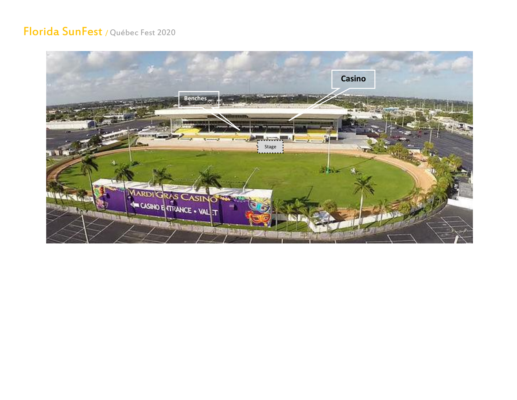## Florida SunFest / Québec Fest 2020